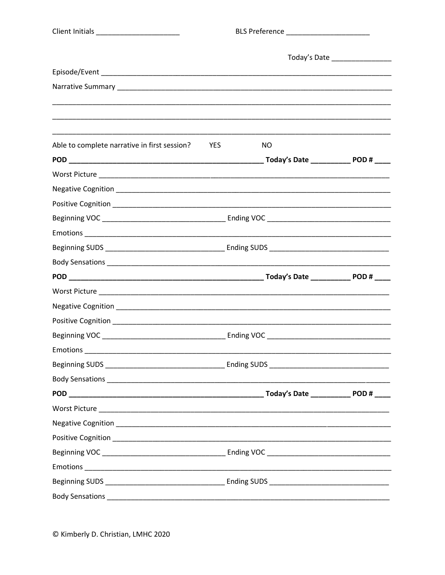| <b>Client Initials</b> |  |  |
|------------------------|--|--|
|                        |  |  |

\_\_\_\_\_\_\_\_\_\_\_\_\_\_

|                                              |            | Today's Date __________________ |  |  |
|----------------------------------------------|------------|---------------------------------|--|--|
|                                              |            |                                 |  |  |
|                                              |            |                                 |  |  |
|                                              |            |                                 |  |  |
| Able to complete narrative in first session? | <b>YES</b> | NO                              |  |  |
|                                              |            |                                 |  |  |
|                                              |            |                                 |  |  |
|                                              |            |                                 |  |  |
|                                              |            |                                 |  |  |
|                                              |            |                                 |  |  |
|                                              |            |                                 |  |  |
|                                              |            |                                 |  |  |
|                                              |            |                                 |  |  |
|                                              |            |                                 |  |  |
|                                              |            |                                 |  |  |
|                                              |            |                                 |  |  |
|                                              |            |                                 |  |  |
|                                              |            |                                 |  |  |
|                                              |            |                                 |  |  |
|                                              |            |                                 |  |  |
|                                              |            |                                 |  |  |
|                                              |            |                                 |  |  |
|                                              |            |                                 |  |  |
|                                              |            |                                 |  |  |
|                                              |            |                                 |  |  |
|                                              |            |                                 |  |  |
|                                              |            |                                 |  |  |
|                                              |            |                                 |  |  |
|                                              |            |                                 |  |  |